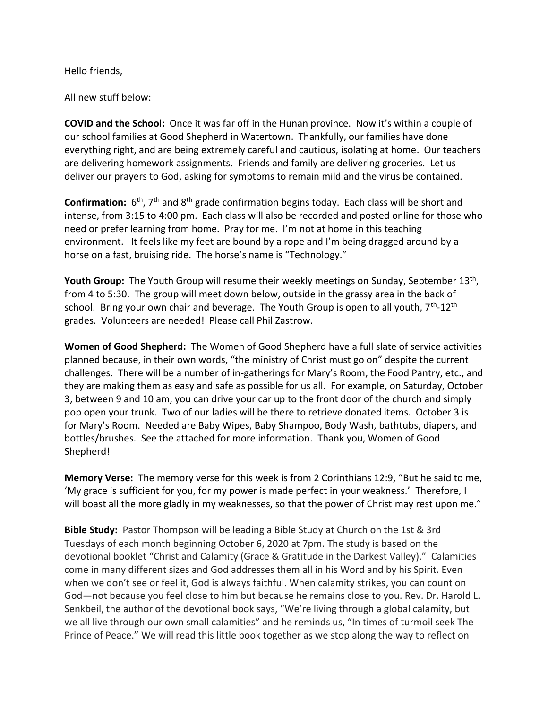Hello friends,

All new stuff below:

**COVID and the School:** Once it was far off in the Hunan province. Now it's within a couple of our school families at Good Shepherd in Watertown. Thankfully, our families have done everything right, and are being extremely careful and cautious, isolating at home. Our teachers are delivering homework assignments. Friends and family are delivering groceries. Let us deliver our prayers to God, asking for symptoms to remain mild and the virus be contained.

Confirmation: 6<sup>th</sup>, 7<sup>th</sup> and 8<sup>th</sup> grade confirmation begins today. Each class will be short and intense, from 3:15 to 4:00 pm. Each class will also be recorded and posted online for those who need or prefer learning from home. Pray for me. I'm not at home in this teaching environment. It feels like my feet are bound by a rope and I'm being dragged around by a horse on a fast, bruising ride. The horse's name is "Technology."

Youth Group: The Youth Group will resume their weekly meetings on Sunday, September 13<sup>th</sup>, from 4 to 5:30. The group will meet down below, outside in the grassy area in the back of school. Bring your own chair and beverage. The Youth Group is open to all youth, 7<sup>th</sup>-12<sup>th</sup> grades. Volunteers are needed! Please call Phil Zastrow.

**Women of Good Shepherd:** The Women of Good Shepherd have a full slate of service activities planned because, in their own words, "the ministry of Christ must go on" despite the current challenges. There will be a number of in-gatherings for Mary's Room, the Food Pantry, etc., and they are making them as easy and safe as possible for us all. For example, on Saturday, October 3, between 9 and 10 am, you can drive your car up to the front door of the church and simply pop open your trunk. Two of our ladies will be there to retrieve donated items. October 3 is for Mary's Room. Needed are Baby Wipes, Baby Shampoo, Body Wash, bathtubs, diapers, and bottles/brushes. See the attached for more information. Thank you, Women of Good Shepherd!

**Memory Verse:** The memory verse for this week is from 2 Corinthians 12:9, "But he said to me, 'My grace is sufficient for you, for my power is made perfect in your weakness.' Therefore, I will boast all the more gladly in my weaknesses, so that the power of Christ may rest upon me."

**Bible Study:** Pastor Thompson will be leading a Bible Study at Church on the 1st & 3rd Tuesdays of each month beginning October 6, 2020 at 7pm. The study is based on the devotional booklet "Christ and Calamity (Grace & Gratitude in the Darkest Valley)." Calamities come in many different sizes and God addresses them all in his Word and by his Spirit. Even when we don't see or feel it, God is always faithful. When calamity strikes, you can count on God—not because you feel close to him but because he remains close to you. Rev. Dr. Harold L. Senkbeil, the author of the devotional book says, "We're living through a global calamity, but we all live through our own small calamities" and he reminds us, "In times of turmoil seek The Prince of Peace." We will read this little book together as we stop along the way to reflect on